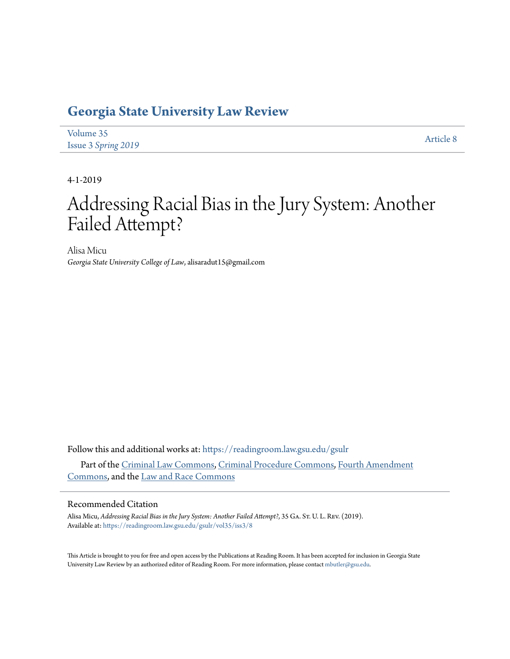# **[Georgia State University Law Review](https://readingroom.law.gsu.edu/gsulr?utm_source=readingroom.law.gsu.edu%2Fgsulr%2Fvol35%2Fiss3%2F8&utm_medium=PDF&utm_campaign=PDFCoverPages)**

| Volume 35                  | <b>Article 8</b> |
|----------------------------|------------------|
| <b>Issue 3 Spring 2019</b> |                  |

4-1-2019

# Addressing Racial Bias in the Jury System: Another Failed Attempt?

Alisa Micu *Georgia State University College of Law*, alisaradut15@gmail.com

Follow this and additional works at: [https://readingroom.law.gsu.edu/gsulr](https://readingroom.law.gsu.edu/gsulr?utm_source=readingroom.law.gsu.edu%2Fgsulr%2Fvol35%2Fiss3%2F8&utm_medium=PDF&utm_campaign=PDFCoverPages) Part of the [Criminal Law Commons](http://network.bepress.com/hgg/discipline/912?utm_source=readingroom.law.gsu.edu%2Fgsulr%2Fvol35%2Fiss3%2F8&utm_medium=PDF&utm_campaign=PDFCoverPages), [Criminal Procedure Commons](http://network.bepress.com/hgg/discipline/1073?utm_source=readingroom.law.gsu.edu%2Fgsulr%2Fvol35%2Fiss3%2F8&utm_medium=PDF&utm_campaign=PDFCoverPages), [Fourth Amendment](http://network.bepress.com/hgg/discipline/1180?utm_source=readingroom.law.gsu.edu%2Fgsulr%2Fvol35%2Fiss3%2F8&utm_medium=PDF&utm_campaign=PDFCoverPages) [Commons,](http://network.bepress.com/hgg/discipline/1180?utm_source=readingroom.law.gsu.edu%2Fgsulr%2Fvol35%2Fiss3%2F8&utm_medium=PDF&utm_campaign=PDFCoverPages) and the [Law and Race Commons](http://network.bepress.com/hgg/discipline/1300?utm_source=readingroom.law.gsu.edu%2Fgsulr%2Fvol35%2Fiss3%2F8&utm_medium=PDF&utm_campaign=PDFCoverPages)

# Recommended Citation

Alisa Micu, *Addressing Racial Bias in the Jury System: Another Failed Attempt?*, 35 Ga. St. U. L. Rev. (2019). Available at: [https://readingroom.law.gsu.edu/gsulr/vol35/iss3/8](https://readingroom.law.gsu.edu/gsulr/vol35/iss3/8?utm_source=readingroom.law.gsu.edu%2Fgsulr%2Fvol35%2Fiss3%2F8&utm_medium=PDF&utm_campaign=PDFCoverPages)

This Article is brought to you for free and open access by the Publications at Reading Room. It has been accepted for inclusion in Georgia State University Law Review by an authorized editor of Reading Room. For more information, please contact [mbutler@gsu.edu.](mailto:mbutler@gsu.edu)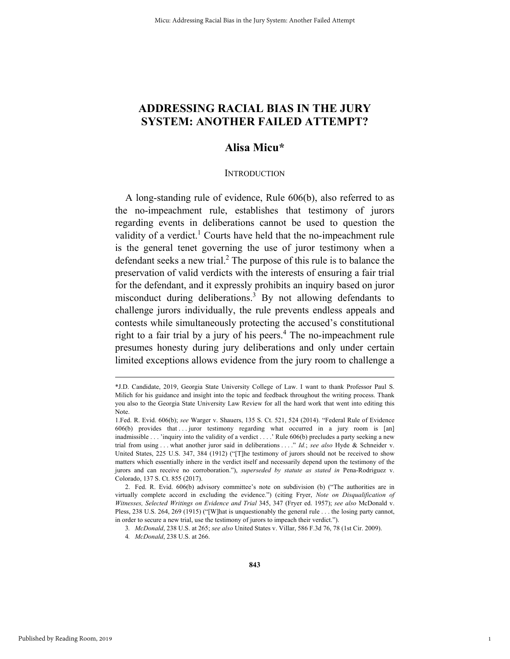# **ADDRESSING RACIAL BIAS IN THE JURY SYSTEM: ANOTHER FAILED ATTEMPT?**

# **Alisa Micu\***

# **INTRODUCTION**

A long-standing rule of evidence, Rule 606(b), also referred to as the no-impeachment rule, establishes that testimony of jurors regarding events in deliberations cannot be used to question the validity of a verdict.<sup>1</sup> Courts have held that the no-impeachment rule is the general tenet governing the use of juror testimony when a defendant seeks a new trial.<sup>2</sup> The purpose of this rule is to balance the preservation of valid verdicts with the interests of ensuring a fair trial for the defendant, and it expressly prohibits an inquiry based on juror misconduct during deliberations.<sup>3</sup> By not allowing defendants to challenge jurors individually, the rule prevents endless appeals and contests while simultaneously protecting the accused's constitutional right to a fair trial by a jury of his peers.<sup>4</sup> The no-impeachment rule presumes honesty during jury deliberations and only under certain limited exceptions allows evidence from the jury room to challenge a

1

 <sup>\*</sup>J.D. Candidate, 2019, Georgia State University College of Law. I want to thank Professor Paul S. Milich for his guidance and insight into the topic and feedback throughout the writing process. Thank you also to the Georgia State University Law Review for all the hard work that went into editing this Note.

<sup>1.</sup>Fed. R. Evid. 606(b); *see* Warger v. Shauers, 135 S. Ct. 521, 524 (2014). "Federal Rule of Evidence 606(b) provides that . . . juror testimony regarding what occurred in a jury room is [an] inadmissible . . . 'inquiry into the validity of a verdict . . . .' Rule 606(b) precludes a party seeking a new trial from using . . . what another juror said in deliberations . . . ." *Id.*; *see also* Hyde & Schneider v. United States, 225 U.S. 347, 384 (1912) ("[T]he testimony of jurors should not be received to show matters which essentially inhere in the verdict itself and necessarily depend upon the testimony of the jurors and can receive no corroboration."), *superseded by statute as stated in* Pena-Rodriguez v. Colorado, 137 S. Ct. 855 (2017).

 <sup>2.</sup> Fed. R. Evid. 606(b) advisory committee's note on subdivision (b) ("The authorities are in virtually complete accord in excluding the evidence.") (citing Fryer, *Note on Disqualification of Witnesses, Selected Writings on Evidence and Trial* 345, 347 (Fryer ed. 1957); *see also* McDonald v. Pless, 238 U.S. 264, 269 (1915) ("[W]hat is unquestionably the general rule . . . the losing party cannot, in order to secure a new trial, use the testimony of jurors to impeach their verdict.").

<sup>3</sup>*. McDonald*, 238 U.S. at 265; *see also* United States v. Villar, 586 F.3d 76, 78 (1st Cir. 2009).

<sup>4</sup>*. McDonald*, 238 U.S. at 266.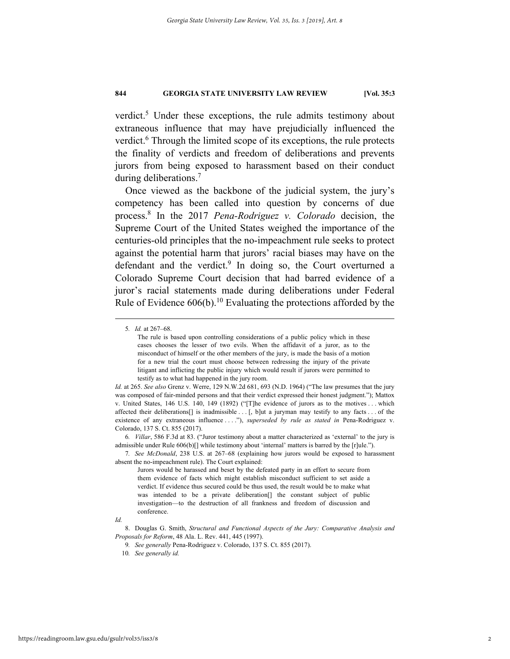verdict.<sup>5</sup> Under these exceptions, the rule admits testimony about extraneous influence that may have prejudicially influenced the verdict.<sup>6</sup> Through the limited scope of its exceptions, the rule protects the finality of verdicts and freedom of deliberations and prevents jurors from being exposed to harassment based on their conduct during deliberations.7

Once viewed as the backbone of the judicial system, the jury's competency has been called into question by concerns of due process.8 In the 2017 *Pena-Rodriguez v. Colorado* decision, the Supreme Court of the United States weighed the importance of the centuries-old principles that the no-impeachment rule seeks to protect against the potential harm that jurors' racial biases may have on the defendant and the verdict.<sup>9</sup> In doing so, the Court overturned a Colorado Supreme Court decision that had barred evidence of a juror's racial statements made during deliberations under Federal Rule of Evidence  $606(b)$ .<sup>10</sup> Evaluating the protections afforded by the

 <sup>5</sup>*. Id.* at 267–68.

The rule is based upon controlling considerations of a public policy which in these cases chooses the lesser of two evils. When the affidavit of a juror, as to the misconduct of himself or the other members of the jury, is made the basis of a motion for a new trial the court must choose between redressing the injury of the private litigant and inflicting the public injury which would result if jurors were permitted to testify as to what had happened in the jury room.

*Id.* at 265. *See also* Grenz v. Werre, 129 N.W.2d 681, 693 (N.D. 1964) ("The law presumes that the jury was composed of fair-minded persons and that their verdict expressed their honest judgment."); Mattox v. United States, 146 U.S. 140, 149 (1892) ("[T]he evidence of jurors as to the motives . . . which affected their deliberations[] is inadmissible . . . [, b]ut a juryman may testify to any facts . . . of the existence of any extraneous influence . . . ."), *superseded by rule as stated in* Pena-Rodriguez v. Colorado, 137 S. Ct. 855 (2017).

<sup>6</sup>*. Villar*, 586 F.3d at 83. ("Juror testimony about a matter characterized as 'external' to the jury is admissible under Rule 606(b)[] while testimony about 'internal' matters is barred by the [r]ule.").

<sup>7</sup>*. See McDonald*, 238 U.S. at 267–68 (explaining how jurors would be exposed to harassment absent the no-impeachment rule). The Court explained:

Jurors would be harassed and beset by the defeated party in an effort to secure from them evidence of facts which might establish misconduct sufficient to set aside a verdict. If evidence thus secured could be thus used, the result would be to make what was intended to be a private deliberation[] the constant subject of public investigation—to the destruction of all frankness and freedom of discussion and conference.

*Id.*

 <sup>8.</sup> Douglas G. Smith, *Structural and Functional Aspects of the Jury: Comparative Analysis and Proposals for Reform*, 48 Ala. L. Rev. 441, 445 (1997).

<sup>9</sup>*. See generally* Pena-Rodriguez v. Colorado, 137 S. Ct. 855 (2017).

<sup>10</sup>*. See generally id.*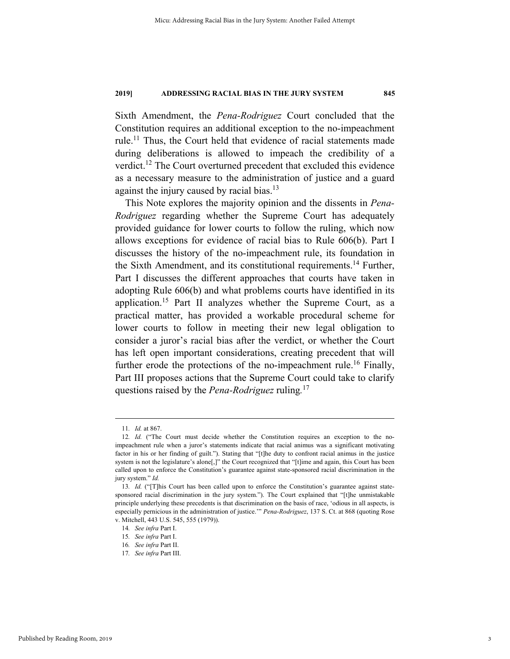Sixth Amendment, the *Pena-Rodriguez* Court concluded that the Constitution requires an additional exception to the no-impeachment rule.<sup>11</sup> Thus, the Court held that evidence of racial statements made during deliberations is allowed to impeach the credibility of a verdict.<sup>12</sup> The Court overturned precedent that excluded this evidence as a necessary measure to the administration of justice and a guard against the injury caused by racial bias.<sup>13</sup>

This Note explores the majority opinion and the dissents in *Pena-Rodriguez* regarding whether the Supreme Court has adequately provided guidance for lower courts to follow the ruling, which now allows exceptions for evidence of racial bias to Rule 606(b). Part I discusses the history of the no-impeachment rule, its foundation in the Sixth Amendment, and its constitutional requirements.<sup>14</sup> Further, Part I discusses the different approaches that courts have taken in adopting Rule 606(b) and what problems courts have identified in its application.15 Part II analyzes whether the Supreme Court, as a practical matter, has provided a workable procedural scheme for lower courts to follow in meeting their new legal obligation to consider a juror's racial bias after the verdict, or whether the Court has left open important considerations, creating precedent that will further erode the protections of the no-impeachment rule.<sup>16</sup> Finally, Part III proposes actions that the Supreme Court could take to clarify questions raised by the *Pena-Rodriguez* ruling*.* 17

 <sup>11</sup>*. Id.* at 867.

<sup>12</sup>*. Id.* ("The Court must decide whether the Constitution requires an exception to the noimpeachment rule when a juror's statements indicate that racial animus was a significant motivating factor in his or her finding of guilt."). Stating that "[t]he duty to confront racial animus in the justice system is not the legislature's alone[,]" the Court recognized that "[t]ime and again, this Court has been called upon to enforce the Constitution's guarantee against state-sponsored racial discrimination in the jury system." *Id.*

<sup>13</sup>*. Id.* ("[T]his Court has been called upon to enforce the Constitution's guarantee against statesponsored racial discrimination in the jury system."). The Court explained that "[t]he unmistakable principle underlying these precedents is that discrimination on the basis of race, 'odious in all aspects, is especially pernicious in the administration of justice.'" *Pena-Rodriguez*, 137 S. Ct. at 868 (quoting Rose v. Mitchell, 443 U.S. 545, 555 (1979)).

<sup>14</sup>*. See infra* Part I.

<sup>15</sup>*. See infra* Part I.

<sup>16</sup>*. See infra* Part II.

<sup>17</sup>*. See infra* Part III.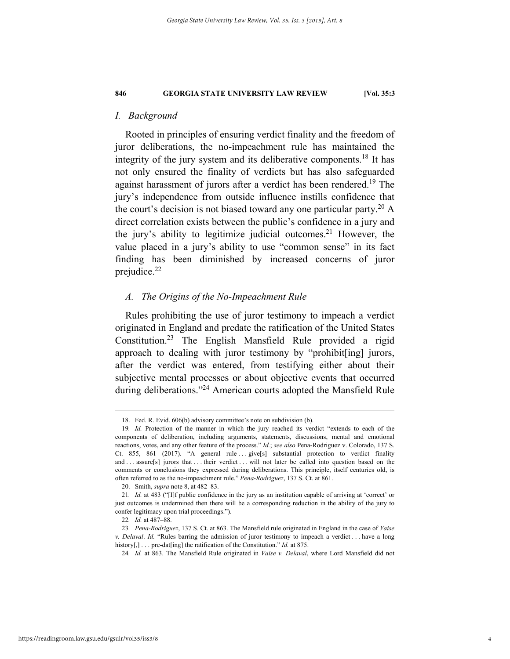# *I. Background*

Rooted in principles of ensuring verdict finality and the freedom of juror deliberations, the no-impeachment rule has maintained the integrity of the jury system and its deliberative components.<sup>18</sup> It has not only ensured the finality of verdicts but has also safeguarded against harassment of jurors after a verdict has been rendered.<sup>19</sup> The jury's independence from outside influence instills confidence that the court's decision is not biased toward any one particular party.<sup>20</sup> A direct correlation exists between the public's confidence in a jury and the jury's ability to legitimize judicial outcomes.<sup>21</sup> However, the value placed in a jury's ability to use "common sense" in its fact finding has been diminished by increased concerns of juror prejudice.22

# *A. The Origins of the No-Impeachment Rule*

Rules prohibiting the use of juror testimony to impeach a verdict originated in England and predate the ratification of the United States Constitution.23 The English Mansfield Rule provided a rigid approach to dealing with juror testimony by "prohibit[ing] jurors, after the verdict was entered, from testifying either about their subjective mental processes or about objective events that occurred during deliberations."<sup>24</sup> American courts adopted the Mansfield Rule

 <sup>18.</sup> Fed. R. Evid. 606(b) advisory committee's note on subdivision (b).

<sup>19</sup>*. Id.* Protection of the manner in which the jury reached its verdict "extends to each of the components of deliberation, including arguments, statements, discussions, mental and emotional reactions, votes, and any other feature of the process." *Id.*; *see also* Pena-Rodriguez v. Colorado, 137 S. Ct. 855, 861 (2017). "A general rule ... give[s] substantial protection to verdict finality and . . . assure[s] jurors that . . . their verdict . . . will not later be called into question based on the comments or conclusions they expressed during deliberations. This principle, itself centuries old, is often referred to as the no-impeachment rule." *Pena-Rodriguez*, 137 S. Ct. at 861.

 <sup>20.</sup> Smith, *supra* note 8, at 482–83.

<sup>21</sup>*. Id.* at 483 ("[I]f public confidence in the jury as an institution capable of arriving at 'correct' or just outcomes is undermined then there will be a corresponding reduction in the ability of the jury to confer legitimacy upon trial proceedings.").

<sup>22</sup>*. Id.* at 487–88.

<sup>23</sup>*. Pena-Rodriguez*, 137 S. Ct. at 863. The Mansfield rule originated in England in the case of *Vaise v. Delaval*. *Id.* "Rules barring the admission of juror testimony to impeach a verdict . . . have a long history[,] . . . pre-dat[ing] the ratification of the Constitution." *Id.* at 875.

<sup>24</sup>*. Id.* at 863. The Mansfield Rule originated in *Vaise v. Delaval*, where Lord Mansfield did not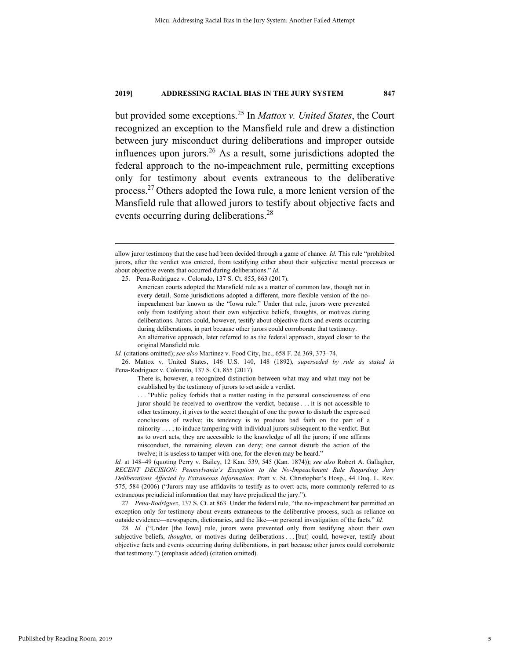but provided some exceptions.25 In *Mattox v. United States*, the Court recognized an exception to the Mansfield rule and drew a distinction between jury misconduct during deliberations and improper outside influences upon jurors.<sup>26</sup> As a result, some jurisdictions adopted the federal approach to the no-impeachment rule, permitting exceptions only for testimony about events extraneous to the deliberative process.27 Others adopted the Iowa rule, a more lenient version of the Mansfield rule that allowed jurors to testify about objective facts and events occurring during deliberations.<sup>28</sup>

allow juror testimony that the case had been decided through a game of chance. *Id.* This rule "prohibited jurors, after the verdict was entered, from testifying either about their subjective mental processes or about objective events that occurred during deliberations." *Id.*

 <sup>25.</sup> Pena-Rodriguez v. Colorado, 137 S. Ct. 855, 863 (2017).

American courts adopted the Mansfield rule as a matter of common law, though not in every detail. Some jurisdictions adopted a different, more flexible version of the noimpeachment bar known as the "Iowa rule." Under that rule, jurors were prevented only from testifying about their own subjective beliefs, thoughts, or motives during deliberations. Jurors could, however, testify about objective facts and events occurring during deliberations, in part because other jurors could corroborate that testimony. An alternative approach, later referred to as the federal approach, stayed closer to the original Mansfield rule.

*Id.* (citations omitted); *see also* Martinez v. Food City, Inc., 658 F. 2d 369, 373–74.

 <sup>26.</sup> Mattox v. United States, 146 U.S. 140, 148 (1892), *superseded by rule as stated in* Pena-Rodriguez v. Colorado, 137 S. Ct. 855 (2017).

There is, however, a recognized distinction between what may and what may not be established by the testimony of jurors to set aside a verdict.

<sup>. . . &</sup>quot;Public policy forbids that a matter resting in the personal consciousness of one juror should be received to overthrow the verdict, because . . . it is not accessible to other testimony; it gives to the secret thought of one the power to disturb the expressed conclusions of twelve; its tendency is to produce bad faith on the part of a minority . . . ; to induce tampering with individual jurors subsequent to the verdict. But as to overt acts, they are accessible to the knowledge of all the jurors; if one affirms misconduct, the remaining eleven can deny; one cannot disturb the action of the twelve; it is useless to tamper with one, for the eleven may be heard."

*Id.* at 148–49 (quoting Perry v. Bailey, 12 Kan. 539, 545 (Kan. 1874)); *see also* Robert A. Gallagher, *RECENT DECISION: Pennsylvania's Exception to the No-Impeachment Rule Regarding Jury Deliberations Affected by Extraneous Information:* Pratt v. St. Christopher's Hosp., 44 Duq. L. Rev. 575, 584 (2006) ("Jurors may use affidavits to testify as to overt acts, more commonly referred to as extraneous prejudicial information that may have prejudiced the jury.").

<sup>27</sup>*. Pena-Rodriguez*, 137 S. Ct. at 863. Under the federal rule, "the no-impeachment bar permitted an exception only for testimony about events extraneous to the deliberative process, such as reliance on outside evidence—newspapers, dictionaries, and the like—or personal investigation of the facts." *Id.*

<sup>28</sup>*. Id.* ("Under [the Iowa] rule, jurors were prevented only from testifying about their own subjective beliefs, *thoughts*, or motives during deliberations . . . [but] could, however, testify about objective facts and events occurring during deliberations, in part because other jurors could corroborate that testimony.") (emphasis added) (citation omitted).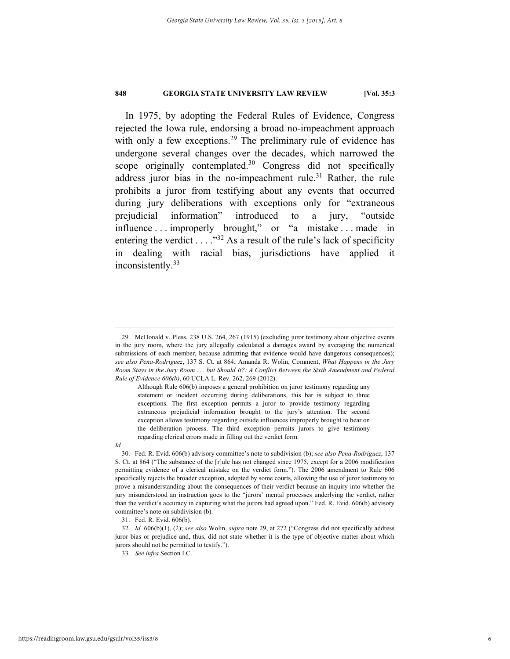In 1975, by adopting the Federal Rules of Evidence, Congress rejected the Iowa rule, endorsing a broad no-impeachment approach with only a few exceptions.<sup>29</sup> The preliminary rule of evidence has undergone several changes over the decades, which narrowed the scope originally contemplated.<sup>30</sup> Congress did not specifically address juror bias in the no-impeachment rule.<sup>31</sup> Rather, the rule prohibits a juror from testifying about any events that occurred during jury deliberations with exceptions only for "extraneous prejudicial information" introduced to a jury, "outside influence . . . improperly brought," or "a mistake . . . made in entering the verdict . . . . " $32$  As a result of the rule's lack of specificity in dealing with racial bias, jurisdictions have applied it inconsistently.<sup>33</sup>

*Id.* 

31. Fed. R. Evid. 606(b).

 <sup>29.</sup> McDonald v. Pless, 238 U.S. 264, 267 (1915) (excluding juror testimony about objective events in the jury room, where the jury allegedly calculated a damages award by averaging the numerical submissions of each member, because admitting that evidence would have dangerous consequences); *see also Pena-Rodriguez*, 137 S. Ct. at 864; Amanda R. Wolin, Comment, *What Happens in the Jury Room Stays in the Jury Room* . *. . but Should It?: A Conflict Between the Sixth Amendment and Federal Rule of Evidence 606(b)*, 60 UCLA L. Rev. 262, 269 (2012).

Although Rule 606(b) imposes a general prohibition on juror testimony regarding any statement or incident occurring during deliberations, this bar is subject to three exceptions. The first exception permits a juror to provide testimony regarding extraneous prejudicial information brought to the jury's attention. The second exception allows testimony regarding outside influences improperly brought to bear on the deliberation process. The third exception permits jurors to give testimony regarding clerical errors made in filling out the verdict form.

 <sup>30.</sup> Fed. R. Evid. 606(b) advisory committee's note to subdivision (b); *see also Pena-Rodriguez*, 137 S. Ct. at 864 ("The substance of the [r]ule has not changed since 1975, except for a 2006 modification permitting evidence of a clerical mistake on the verdict form."). The 2006 amendment to Rule 606 specifically rejects the broader exception, adopted by some courts, allowing the use of juror testimony to prove a misunderstanding about the consequences of their verdict because an inquiry into whether the jury misunderstood an instruction goes to the "jurors' mental processes underlying the verdict, rather than the verdict's accuracy in capturing what the jurors had agreed upon." Fed. R. Evid. 606(b) advisory committee's note on subdivision (b).

<sup>32</sup>*. Id.* 606(b)(1), (2); *see also* Wolin, *supra* note 29, at 272 ("Congress did not specifically address juror bias or prejudice and, thus, did not state whether it is the type of objective matter about which jurors should not be permitted to testify.").

<sup>33</sup>*. See infra* Section I.C.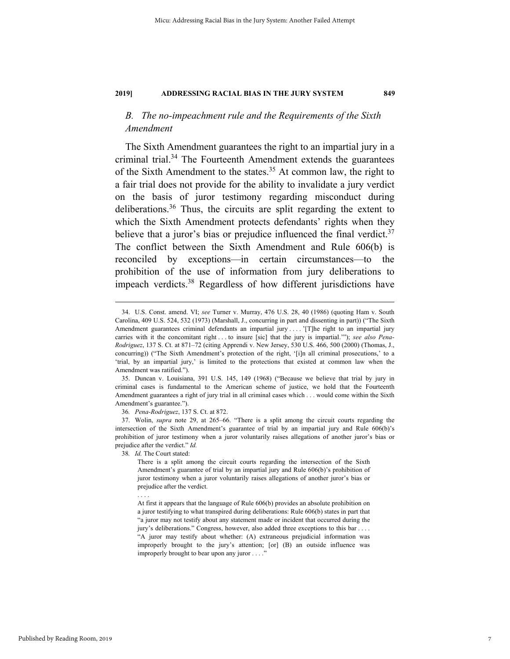# *B. The no-impeachment rule and the Requirements of the Sixth Amendment*

The Sixth Amendment guarantees the right to an impartial jury in a criminal trial.<sup>34</sup> The Fourteenth Amendment extends the guarantees of the Sixth Amendment to the states.<sup>35</sup> At common law, the right to a fair trial does not provide for the ability to invalidate a jury verdict on the basis of juror testimony regarding misconduct during deliberations.<sup>36</sup> Thus, the circuits are split regarding the extent to which the Sixth Amendment protects defendants' rights when they believe that a juror's bias or prejudice influenced the final verdict. $37$ The conflict between the Sixth Amendment and Rule 606(b) is reconciled by exceptions—in certain circumstances—to the prohibition of the use of information from jury deliberations to impeach verdicts.38 Regardless of how different jurisdictions have

38*. Id.* The Court stated:

. . . .

 <sup>34.</sup> U.S. Const. amend. VI; *see* Turner v. Murray, 476 U.S. 28, 40 (1986) (quoting Ham v. South Carolina, 409 U.S. 524, 532 (1973) (Marshall, J., concurring in part and dissenting in part)) ("The Sixth Amendment guarantees criminal defendants an impartial jury . . . . '[T]he right to an impartial jury carries with it the concomitant right . . . to insure [sic] that the jury is impartial.'"); *see also Pena-Rodriguez*, 137 S. Ct. at 871–72 (citing Apprendi v. New Jersey, 530 U.S. 466, 500 (2000) (Thomas, J., concurring)) ("The Sixth Amendment's protection of the right, '[i]n all criminal prosecutions,' to a 'trial, by an impartial jury,' is limited to the protections that existed at common law when the Amendment was ratified.").

 <sup>35.</sup> Duncan v. Louisiana, 391 U.S. 145, 149 (1968) ("Because we believe that trial by jury in criminal cases is fundamental to the American scheme of justice, we hold that the Fourteenth Amendment guarantees a right of jury trial in all criminal cases which . . . would come within the Sixth Amendment's guarantee.").

<sup>36</sup>*. Pena-Rodriguez*, 137 S. Ct. at 872.

 <sup>37.</sup> Wolin, *supra* note 29, at 265–66. "There is a split among the circuit courts regarding the intersection of the Sixth Amendment's guarantee of trial by an impartial jury and Rule 606(b)'s prohibition of juror testimony when a juror voluntarily raises allegations of another juror's bias or prejudice after the verdict." *Id.*

There is a split among the circuit courts regarding the intersection of the Sixth Amendment's guarantee of trial by an impartial jury and Rule 606(b)'s prohibition of juror testimony when a juror voluntarily raises allegations of another juror's bias or prejudice after the verdict.

At first it appears that the language of Rule 606(b) provides an absolute prohibition on a juror testifying to what transpired during deliberations: Rule 606(b) states in part that "a juror may not testify about any statement made or incident that occurred during the jury's deliberations." Congress, however, also added three exceptions to this bar . . . . "A juror may testify about whether: (A) extraneous prejudicial information was improperly brought to the jury's attention; [or] (B) an outside influence was improperly brought to bear upon any juror . . . ."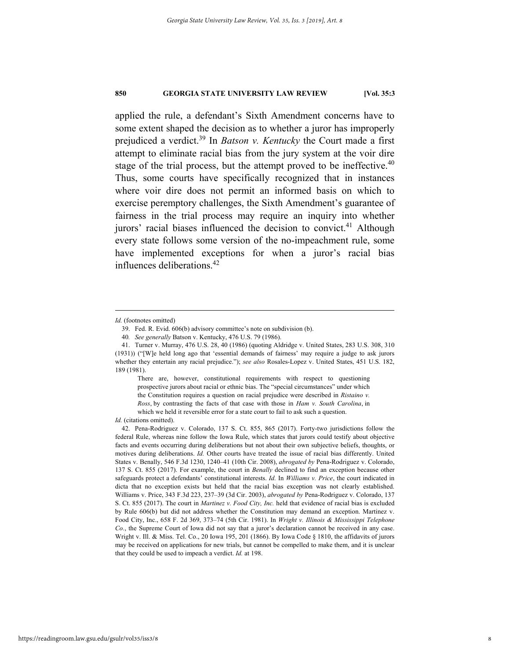applied the rule, a defendant's Sixth Amendment concerns have to some extent shaped the decision as to whether a juror has improperly prejudiced a verdict.39 In *Batson v. Kentucky* the Court made a first attempt to eliminate racial bias from the jury system at the voir dire stage of the trial process, but the attempt proved to be ineffective.<sup>40</sup> Thus, some courts have specifically recognized that in instances where voir dire does not permit an informed basis on which to exercise peremptory challenges, the Sixth Amendment's guarantee of fairness in the trial process may require an inquiry into whether jurors' racial biases influenced the decision to convict.<sup>41</sup> Although every state follows some version of the no-impeachment rule, some have implemented exceptions for when a juror's racial bias influences deliberations.42

1

There are, however, constitutional requirements with respect to questioning prospective jurors about racial or ethnic bias. The "special circumstances" under which the Constitution requires a question on racial prejudice were described in *Ristaino v. Ross*, by contrasting the facts of that case with those in *Ham v. South Carolina*, in which we held it reversible error for a state court to fail to ask such a question.

*Id.* (citations omitted).

*Id.* (footnotes omitted)

 <sup>39.</sup> Fed. R. Evid. 606(b) advisory committee's note on subdivision (b).

<sup>40</sup>*. See generally* Batson v. Kentucky, 476 U.S. 79 (1986).

 <sup>41.</sup> Turner v. Murray, 476 U.S. 28, 40 (1986) (quoting Aldridge v. United States, 283 U.S. 308, 310 (1931)) ("[W]e held long ago that 'essential demands of fairness' may require a judge to ask jurors whether they entertain any racial prejudice."); *see also* Rosales-Lopez v. United States, 451 U.S. 182, 189 (1981).

 <sup>42.</sup> Pena-Rodriguez v. Colorado, 137 S. Ct. 855, 865 (2017). Forty-two jurisdictions follow the federal Rule, whereas nine follow the Iowa Rule, which states that jurors could testify about objective facts and events occurring during deliberations but not about their own subjective beliefs, thoughts, or motives during deliberations. *Id.* Other courts have treated the issue of racial bias differently. United States v. Benally, 546 F.3d 1230, 1240–41 (10th Cir. 2008), *abrogated by* Pena-Rodriguez v. Colorado, 137 S. Ct. 855 (2017). For example, the court in *Benally* declined to find an exception because other safeguards protect a defendants' constitutional interests. *Id.* In *Williams v. Price*, the court indicated in dicta that no exception exists but held that the racial bias exception was not clearly established. Williams v. Price, 343 F.3d 223, 237–39 (3d Cir. 2003), *abrogated by* Pena-Rodriguez v. Colorado, 137 S. Ct. 855 (2017). The court in *Martinez v. Food City, Inc.* held that evidence of racial bias is excluded by Rule 606(b) but did not address whether the Constitution may demand an exception. Martinez v. Food City, Inc., 658 F. 2d 369, 373–74 (5th Cir. 1981). In *Wright v. Illinois & Mississippi Telephone Co.*, the Supreme Court of Iowa did not say that a juror's declaration cannot be received in any case. Wright v. Ill. & Miss. Tel. Co., 20 Iowa 195, 201 (1866). By Iowa Code § 1810, the affidavits of jurors may be received on applications for new trials, but cannot be compelled to make them, and it is unclear that they could be used to impeach a verdict. *Id.* at 198.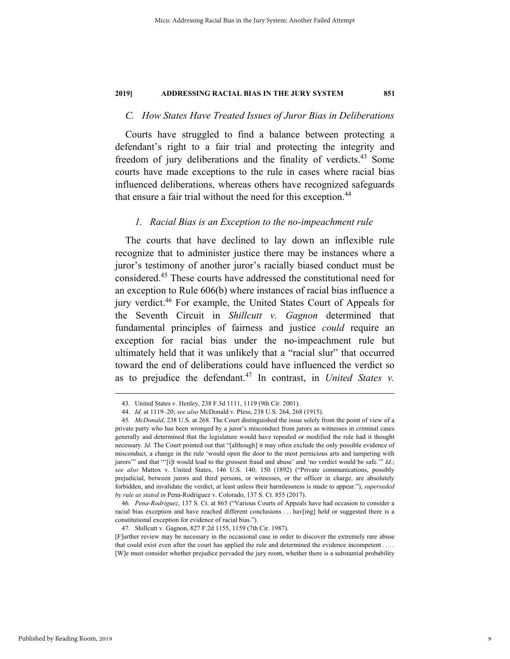# *C. How States Have Treated Issues of Juror Bias in Deliberations*

Courts have struggled to find a balance between protecting a defendant's right to a fair trial and protecting the integrity and freedom of jury deliberations and the finality of verdicts.<sup>43</sup> Some courts have made exceptions to the rule in cases where racial bias influenced deliberations, whereas others have recognized safeguards that ensure a fair trial without the need for this exception.<sup>44</sup>

# *1. Racial Bias is an Exception to the no-impeachment rule*

The courts that have declined to lay down an inflexible rule recognize that to administer justice there may be instances where a juror's testimony of another juror's racially biased conduct must be considered.45 These courts have addressed the constitutional need for an exception to Rule 606(b) where instances of racial bias influence a jury verdict.46 For example, the United States Court of Appeals for the Seventh Circuit in *Shillcutt v. Gagnon* determined that fundamental principles of fairness and justice *could* require an exception for racial bias under the no-impeachment rule but ultimately held that it was unlikely that a "racial slur" that occurred toward the end of deliberations could have influenced the verdict so as to prejudice the defendant.<sup>47</sup> In contrast, in *United States v*.

 <sup>43.</sup> United States v. Henley, 238 F.3d 1111, 1119 (9th Cir. 2001).

<sup>44</sup>*. Id.* at 1119–20; *see also* McDonald v. Pless, 238 U.S. 264, 268 (1915).

<sup>45</sup>*. McDonald*, 238 U.S. at 268. The Court distinguished the issue solely from the point of view of a private party who has been wronged by a juror's misconduct from jurors as witnesses in criminal cases generally and determined that the legislature would have repealed or modified the rule had it thought necessary. *Id.* The Court pointed out that "[although] it may often exclude the only possible evidence of misconduct, a change in the rule 'would open the door to the most pernicious arts and tampering with jurors'" and that "'[i]t would lead to the grossest fraud and abuse' and 'no verdict would be safe.'" *Id.*; *see also* Mattox v. United States, 146 U.S. 140, 150 (1892) ("Private communications, possibly prejudicial, between jurors and third persons, or witnesses, or the officer in charge, are absolutely forbidden, and invalidate the verdict, at least unless their harmlessness is made to appear."), *superseded by rule as stated in* Pena-Rodriguez v. Colorado, 137 S. Ct. 855 (2017).

<sup>46</sup>*. Pena-Rodriguez*, 137 S. Ct. at 865 ("Various Courts of Appeals have had occasion to consider a racial bias exception and have reached different conclusions . . . hav[ing] held or suggested there is a constitutional exception for evidence of racial bias.").

 <sup>47.</sup> Shillcutt v. Gagnon, 827 F.2d 1155, 1159 (7th Cir. 1987).

<sup>[</sup>F]urther review may be necessary in the occasional case in order to discover the extremely rare abuse that could exist even after the court has applied the rule and determined the evidence incompetent . . . . [W]e must consider whether prejudice pervaded the jury room, whether there is a substantial probability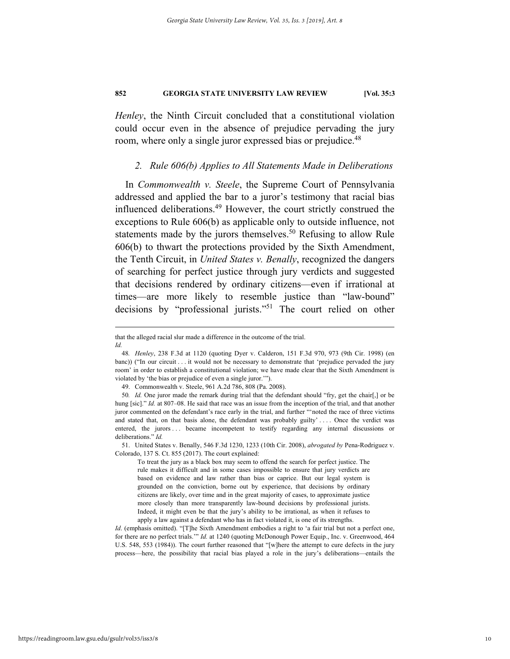*Henley*, the Ninth Circuit concluded that a constitutional violation could occur even in the absence of prejudice pervading the jury room, where only a single juror expressed bias or prejudice.<sup>48</sup>

# *2. Rule 606(b) Applies to All Statements Made in Deliberations*

In *Commonwealth v. Steele*, the Supreme Court of Pennsylvania addressed and applied the bar to a juror's testimony that racial bias influenced deliberations.<sup>49</sup> However, the court strictly construed the exceptions to Rule 606(b) as applicable only to outside influence, not statements made by the jurors themselves.<sup>50</sup> Refusing to allow Rule 606(b) to thwart the protections provided by the Sixth Amendment, the Tenth Circuit, in *United States v. Benally*, recognized the dangers of searching for perfect justice through jury verdicts and suggested that decisions rendered by ordinary citizens—even if irrational at times—are more likely to resemble justice than "law-bound" decisions by "professional jurists."51 The court relied on other

To treat the jury as a black box may seem to offend the search for perfect justice. The rule makes it difficult and in some cases impossible to ensure that jury verdicts are based on evidence and law rather than bias or caprice. But our legal system is grounded on the conviction, borne out by experience, that decisions by ordinary citizens are likely, over time and in the great majority of cases, to approximate justice more closely than more transparently law-bound decisions by professional jurists. Indeed, it might even be that the jury's ability to be irrational, as when it refuses to apply a law against a defendant who has in fact violated it, is one of its strengths.

that the alleged racial slur made a difference in the outcome of the trial. *Id.* 

<sup>48</sup>*. Henley*, 238 F.3d at 1120 (quoting Dyer v. Calderon, 151 F.3d 970, 973 (9th Cir. 1998) (en banc)) ("In our circuit . . . it would not be necessary to demonstrate that 'prejudice pervaded the jury room' in order to establish a constitutional violation; we have made clear that the Sixth Amendment is violated by 'the bias or prejudice of even a single juror.'").

 <sup>49.</sup> Commonwealth v. Steele, 961 A.2d 786, 808 (Pa. 2008).

<sup>50</sup>*. Id.* One juror made the remark during trial that the defendant should "fry, get the chair[,] or be hung [sic]." *Id.* at 807–08. He said that race was an issue from the inception of the trial, and that another juror commented on the defendant's race early in the trial, and further "'noted the race of three victims and stated that, on that basis alone, the defendant was probably guilty' ... . Once the verdict was entered, the jurors . . became incompetent to testify regarding any internal discussions or deliberations." *Id.*

 <sup>51.</sup> United States v. Benally, 546 F.3d 1230, 1233 (10th Cir. 2008), *abrogated by* Pena-Rodriguez v. Colorado, 137 S. Ct. 855 (2017). The court explained:

*Id.* (emphasis omitted). "[T]he Sixth Amendment embodies a right to 'a fair trial but not a perfect one, for there are no perfect trials.'" *Id.* at 1240 (quoting McDonough Power Equip., Inc. v. Greenwood, 464 U.S. 548, 553 (1984)). The court further reasoned that "[w]here the attempt to cure defects in the jury process—here, the possibility that racial bias played a role in the jury's deliberations—entails the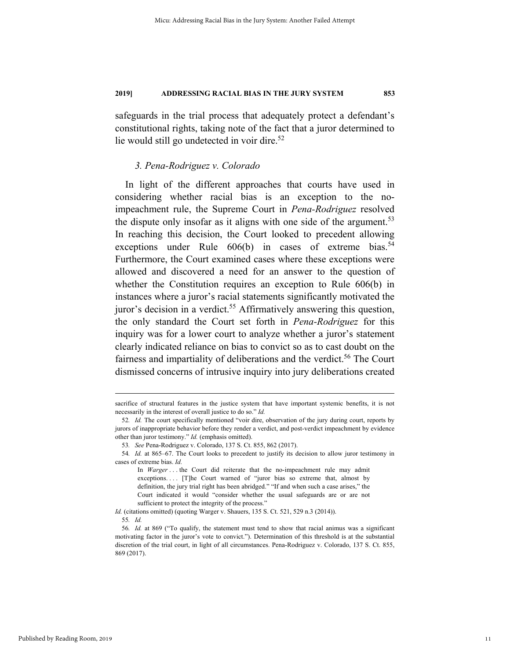safeguards in the trial process that adequately protect a defendant's constitutional rights, taking note of the fact that a juror determined to lie would still go undetected in voir dire. $52$ 

# *3. Pena-Rodriguez v. Colorado*

In light of the different approaches that courts have used in considering whether racial bias is an exception to the noimpeachment rule, the Supreme Court in *Pena-Rodriguez* resolved the dispute only insofar as it aligns with one side of the argument.<sup>53</sup> In reaching this decision, the Court looked to precedent allowing exceptions under Rule  $606(b)$  in cases of extreme bias.<sup>54</sup> Furthermore, the Court examined cases where these exceptions were allowed and discovered a need for an answer to the question of whether the Constitution requires an exception to Rule 606(b) in instances where a juror's racial statements significantly motivated the juror's decision in a verdict.<sup>55</sup> Affirmatively answering this question, the only standard the Court set forth in *Pena-Rodriguez* for this inquiry was for a lower court to analyze whether a juror's statement clearly indicated reliance on bias to convict so as to cast doubt on the fairness and impartiality of deliberations and the verdict.<sup>56</sup> The Court dismissed concerns of intrusive inquiry into jury deliberations created

*Id.* (citations omitted) (quoting Warger v. Shauers, 135 S. Ct. 521, 529 n.3 (2014)).

sacrifice of structural features in the justice system that have important systemic benefits, it is not necessarily in the interest of overall justice to do so." *Id.*

<sup>52</sup>*. Id.* The court specifically mentioned "voir dire, observation of the jury during court, reports by jurors of inappropriate behavior before they render a verdict, and post-verdict impeachment by evidence other than juror testimony." *Id.* (emphasis omitted).

<sup>53</sup>*. See* Pena-Rodriguez v. Colorado, 137 S. Ct. 855, 862 (2017).

<sup>54</sup>*. Id.* at 865–67. The Court looks to precedent to justify its decision to allow juror testimony in cases of extreme bias. *Id.*

In *Warger* . . . the Court did reiterate that the no-impeachment rule may admit exceptions.... [T]he Court warned of "juror bias so extreme that, almost by definition, the jury trial right has been abridged." "If and when such a case arises," the Court indicated it would "consider whether the usual safeguards are or are not sufficient to protect the integrity of the process."

<sup>55</sup>*. Id.* 

<sup>56</sup>*. Id.* at 869 ("To qualify, the statement must tend to show that racial animus was a significant motivating factor in the juror's vote to convict."). Determination of this threshold is at the substantial discretion of the trial court, in light of all circumstances. Pena-Rodriguez v. Colorado, 137 S. Ct. 855, 869 (2017).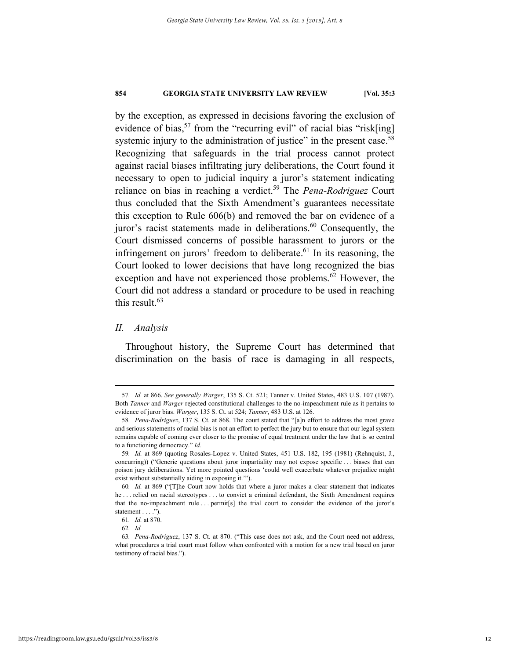by the exception, as expressed in decisions favoring the exclusion of evidence of bias,<sup>57</sup> from the "recurring evil" of racial bias "risk[ing] systemic injury to the administration of justice" in the present case.<sup>58</sup> Recognizing that safeguards in the trial process cannot protect against racial biases infiltrating jury deliberations, the Court found it necessary to open to judicial inquiry a juror's statement indicating reliance on bias in reaching a verdict.59 The *Pena-Rodriguez* Court thus concluded that the Sixth Amendment's guarantees necessitate this exception to Rule 606(b) and removed the bar on evidence of a juror's racist statements made in deliberations. $60$  Consequently, the Court dismissed concerns of possible harassment to jurors or the infringement on jurors' freedom to deliberate. $61$  In its reasoning, the Court looked to lower decisions that have long recognized the bias exception and have not experienced those problems.<sup>62</sup> However, the Court did not address a standard or procedure to be used in reaching this result.<sup>63</sup>

# *II. Analysis*

Throughout history, the Supreme Court has determined that discrimination on the basis of race is damaging in all respects,

 <sup>57</sup>*. Id.* at 866. *See generally Warger*, 135 S. Ct. 521; Tanner v. United States, 483 U.S. 107 (1987). Both *Tanner* and *Warger* rejected constitutional challenges to the no-impeachment rule as it pertains to evidence of juror bias. *Warger*, 135 S. Ct. at 524; *Tanner*, 483 U.S. at 126.

<sup>58</sup>*. Pena-Rodriguez*, 137 S. Ct. at 868. The court stated that "[a]n effort to address the most grave and serious statements of racial bias is not an effort to perfect the jury but to ensure that our legal system remains capable of coming ever closer to the promise of equal treatment under the law that is so central to a functioning democracy." *Id.* 

<sup>59</sup>*. Id.* at 869 (quoting Rosales-Lopez v. United States, 451 U.S. 182, 195 (1981) (Rehnquist, J., concurring)) ("Generic questions about juror impartiality may not expose specific . . . biases that can poison jury deliberations. Yet more pointed questions 'could well exacerbate whatever prejudice might exist without substantially aiding in exposing it.'").

<sup>60</sup>*. Id.* at 869 ("[T]he Court now holds that where a juror makes a clear statement that indicates he . . . relied on racial stereotypes . . . to convict a criminal defendant, the Sixth Amendment requires that the no-impeachment rule . . . permit[s] the trial court to consider the evidence of the juror's statement . . . .").

<sup>61</sup>*. Id.* at 870.

<sup>62</sup>*. Id.*

<sup>63</sup>*. Pena-Rodriguez*, 137 S. Ct. at 870. ("This case does not ask, and the Court need not address, what procedures a trial court must follow when confronted with a motion for a new trial based on juror testimony of racial bias.").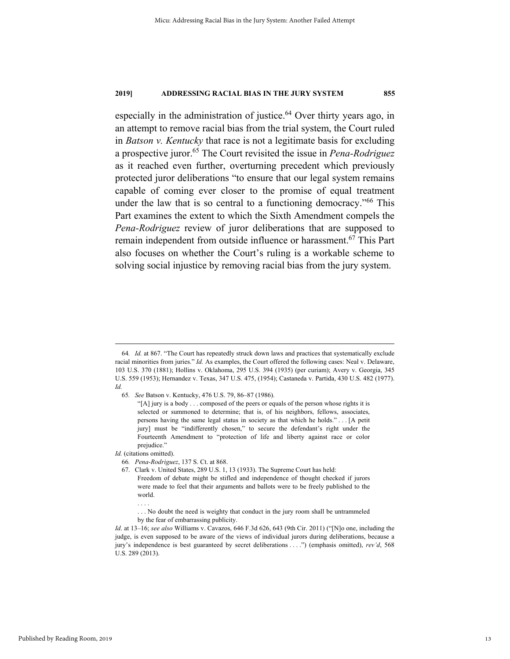especially in the administration of justice. $64$  Over thirty years ago, in an attempt to remove racial bias from the trial system, the Court ruled in *Batson v. Kentucky* that race is not a legitimate basis for excluding a prospective juror.65 The Court revisited the issue in *Pena-Rodriguez* as it reached even further, overturning precedent which previously protected juror deliberations "to ensure that our legal system remains capable of coming ever closer to the promise of equal treatment under the law that is so central to a functioning democracy."<sup>66</sup> This Part examines the extent to which the Sixth Amendment compels the *Pena-Rodriguez* review of juror deliberations that are supposed to remain independent from outside influence or harassment.<sup>67</sup> This Part also focuses on whether the Court's ruling is a workable scheme to solving social injustice by removing racial bias from the jury system.

Id. (citations omitted).

. . . .

 <sup>64</sup>*. Id.* at 867. "The Court has repeatedly struck down laws and practices that systematically exclude racial minorities from juries." *Id.* As examples, the Court offered the following cases: Neal v. Delaware, 103 U.S. 370 (1881); Hollins v. Oklahoma, 295 U.S. 394 (1935) (per curiam); Avery v. Georgia, 345 U.S. 559 (1953); Hernandez v. Texas, 347 U.S. 475, (1954); Castaneda v. Partida, 430 U.S. 482 (1977). *Id.* 

<sup>65</sup>*. See* Batson v. Kentucky, 476 U.S. 79, 86–87 (1986).

<sup>&</sup>quot;[A] jury is a body . . . composed of the peers or equals of the person whose rights it is selected or summoned to determine; that is, of his neighbors, fellows, associates, persons having the same legal status in society as that which he holds." . . . [A petit jury] must be "indifferently chosen," to secure the defendant's right under the Fourteenth Amendment to "protection of life and liberty against race or color prejudice."

<sup>66</sup>*. Pena-Rodriguez*, 137 S. Ct. at 868.

 <sup>67.</sup> Clark v. United States, 289 U.S. 1, 13 (1933). The Supreme Court has held:

Freedom of debate might be stifled and independence of thought checked if jurors were made to feel that their arguments and ballots were to be freely published to the world.

<sup>. . .</sup> No doubt the need is weighty that conduct in the jury room shall be untrammeled by the fear of embarrassing publicity.

*Id*. at 13–16; *see also* Williams v. Cavazos, 646 F.3d 626, 643 (9th Cir. 2011) ("[N]o one, including the judge, is even supposed to be aware of the views of individual jurors during deliberations, because a jury's independence is best guaranteed by secret deliberations . . . .") (emphasis omitted), *rev'd*, 568 U.S. 289 (2013).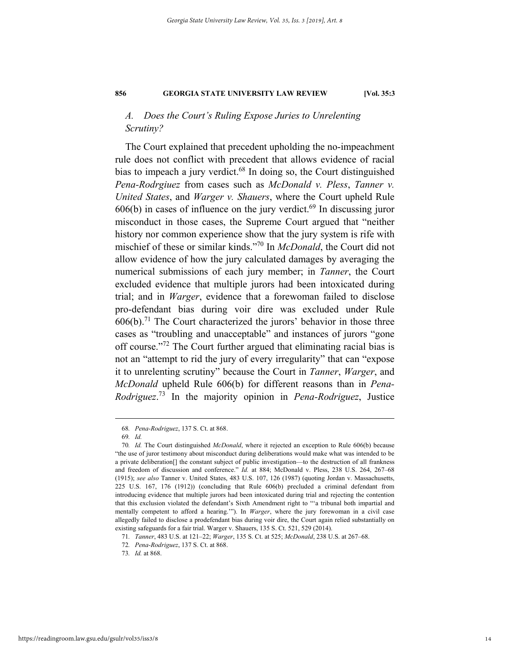# *A. Does the Court's Ruling Expose Juries to Unrelenting Scrutiny?*

The Court explained that precedent upholding the no-impeachment rule does not conflict with precedent that allows evidence of racial bias to impeach a jury verdict.<sup>68</sup> In doing so, the Court distinguished *Pena-Rodrgiuez* from cases such as *McDonald v. Pless*, *Tanner v. United States*, and *Warger v. Shauers*, where the Court upheld Rule  $606(b)$  in cases of influence on the jury verdict.<sup>69</sup> In discussing juror misconduct in those cases, the Supreme Court argued that "neither history nor common experience show that the jury system is rife with mischief of these or similar kinds."70 In *McDonald*, the Court did not allow evidence of how the jury calculated damages by averaging the numerical submissions of each jury member; in *Tanner*, the Court excluded evidence that multiple jurors had been intoxicated during trial; and in *Warger*, evidence that a forewoman failed to disclose pro-defendant bias during voir dire was excluded under Rule  $606(b)$ <sup>71</sup>. The Court characterized the jurors' behavior in those three cases as "troubling and unacceptable" and instances of jurors "gone off course."72 The Court further argued that eliminating racial bias is not an "attempt to rid the jury of every irregularity" that can "expose it to unrelenting scrutiny" because the Court in *Tanner*, *Warger*, and *McDonald* upheld Rule 606(b) for different reasons than in *Pena-Rodriguez*. 73 In the majority opinion in *Pena-Rodriguez*, Justice

 <sup>68</sup>*. Pena-Rodriguez*, 137 S. Ct. at 868.

<sup>69</sup>*. Id.*

<sup>70</sup>*. Id.* The Court distinguished *McDonald*, where it rejected an exception to Rule 606(b) because "the use of juror testimony about misconduct during deliberations would make what was intended to be a private deliberation[] the constant subject of public investigation—to the destruction of all frankness and freedom of discussion and conference." *Id.* at 884; McDonald v. Pless, 238 U.S. 264, 267–68 (1915); *see also* Tanner v. United States, 483 U.S. 107, 126 (1987) (quoting Jordan v. Massachusetts, 225 U.S. 167, 176 (1912)) (concluding that Rule 606(b) precluded a criminal defendant from introducing evidence that multiple jurors had been intoxicated during trial and rejecting the contention that this exclusion violated the defendant's Sixth Amendment right to "'a tribunal both impartial and mentally competent to afford a hearing.'"). In *Warger*, where the jury forewoman in a civil case allegedly failed to disclose a prodefendant bias during voir dire, the Court again relied substantially on existing safeguards for a fair trial. Warger v. Shauers, 135 S. Ct. 521, 529 (2014).

<sup>71</sup>*. Tanner*, 483 U.S. at 121–22; *Warger*, 135 S. Ct. at 525; *McDonald*, 238 U.S. at 267–68.

<sup>72</sup>*. Pena-Rodriguez*, 137 S. Ct. at 868.

<sup>73</sup>*. Id.* at 868.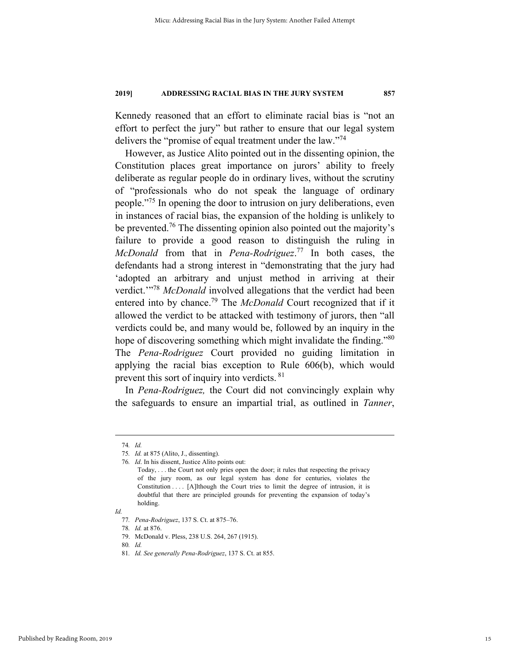Kennedy reasoned that an effort to eliminate racial bias is "not an effort to perfect the jury" but rather to ensure that our legal system delivers the "promise of equal treatment under the law."<sup>74</sup>

However, as Justice Alito pointed out in the dissenting opinion, the Constitution places great importance on jurors' ability to freely deliberate as regular people do in ordinary lives, without the scrutiny of "professionals who do not speak the language of ordinary people."75 In opening the door to intrusion on jury deliberations, even in instances of racial bias, the expansion of the holding is unlikely to be prevented.<sup>76</sup> The dissenting opinion also pointed out the majority's failure to provide a good reason to distinguish the ruling in *McDonald* from that in *Pena-Rodriguez*. 77 In both cases, the defendants had a strong interest in "demonstrating that the jury had 'adopted an arbitrary and unjust method in arriving at their verdict.'<sup>"78</sup> *McDonald* involved allegations that the verdict had been entered into by chance.79 The *McDonald* Court recognized that if it allowed the verdict to be attacked with testimony of jurors, then "all verdicts could be, and many would be, followed by an inquiry in the hope of discovering something which might invalidate the finding."<sup>80</sup> The *Pena-Rodriguez* Court provided no guiding limitation in applying the racial bias exception to Rule 606(b), which would prevent this sort of inquiry into verdicts. 81

In *Pena-Rodriguez,* the Court did not convincingly explain why the safeguards to ensure an impartial trial, as outlined in *Tanner*,

*Id.* 

 <sup>74</sup>*. Id.*

<sup>75</sup>*. Id.* at 875 (Alito, J., dissenting).

<sup>76</sup>*. Id*. In his dissent, Justice Alito points out: Today, . . . the Court not only pries open the door; it rules that respecting the privacy of the jury room, as our legal system has done for centuries, violates the Constitution . . . . [A]lthough the Court tries to limit the degree of intrusion, it is doubtful that there are principled grounds for preventing the expansion of today's holding.

<sup>77</sup>*. Pena-Rodriguez*, 137 S. Ct. at 875–76.

<sup>78</sup>*. Id.* at 876.

 <sup>79.</sup> McDonald v. Pless, 238 U.S. 264, 267 (1915).

<sup>80</sup>*. Id.*

<sup>81</sup>*. Id. See generally Pena-Rodriguez*, 137 S. Ct. at 855.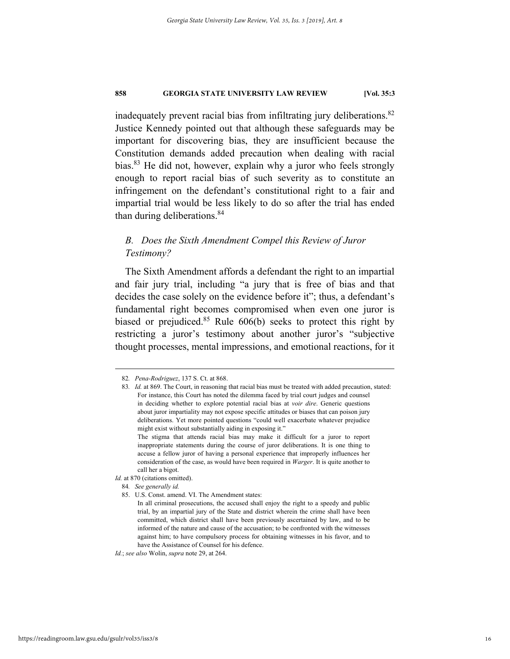inadequately prevent racial bias from infiltrating jury deliberations.<sup>82</sup> Justice Kennedy pointed out that although these safeguards may be important for discovering bias, they are insufficient because the Constitution demands added precaution when dealing with racial bias.<sup>83</sup> He did not, however, explain why a juror who feels strongly enough to report racial bias of such severity as to constitute an infringement on the defendant's constitutional right to a fair and impartial trial would be less likely to do so after the trial has ended than during deliberations.<sup>84</sup>

# *B. Does the Sixth Amendment Compel this Review of Juror Testimony?*

The Sixth Amendment affords a defendant the right to an impartial and fair jury trial, including "a jury that is free of bias and that decides the case solely on the evidence before it"; thus, a defendant's fundamental right becomes compromised when even one juror is biased or prejudiced.<sup>85</sup> Rule  $606(b)$  seeks to protect this right by restricting a juror's testimony about another juror's "subjective thought processes, mental impressions, and emotional reactions, for it

 <sup>82</sup>*. Pena-Rodriguez*, 137 S. Ct. at 868.

<sup>83</sup>*. Id.* at 869. The Court, in reasoning that racial bias must be treated with added precaution, stated: For instance, this Court has noted the dilemma faced by trial court judges and counsel in deciding whether to explore potential racial bias at *voir dire*. Generic questions about juror impartiality may not expose specific attitudes or biases that can poison jury deliberations. Yet more pointed questions "could well exacerbate whatever prejudice might exist without substantially aiding in exposing it." The stigma that attends racial bias may make it difficult for a juror to report inappropriate statements during the course of juror deliberations. It is one thing to

accuse a fellow juror of having a personal experience that improperly influences her consideration of the case, as would have been required in *Warger*. It is quite another to call her a bigot.

*Id.* at 870 (citations omitted).

<sup>84</sup>*. See generally id.* 

 <sup>85.</sup> U.S. Const. amend. VI. The Amendment states:

In all criminal prosecutions, the accused shall enjoy the right to a speedy and public trial, by an impartial jury of the State and district wherein the crime shall have been committed, which district shall have been previously ascertained by law, and to be informed of the nature and cause of the accusation; to be confronted with the witnesses against him; to have compulsory process for obtaining witnesses in his favor, and to have the Assistance of Counsel for his defence.

*Id.*; *see also* Wolin, *supra* note 29, at 264.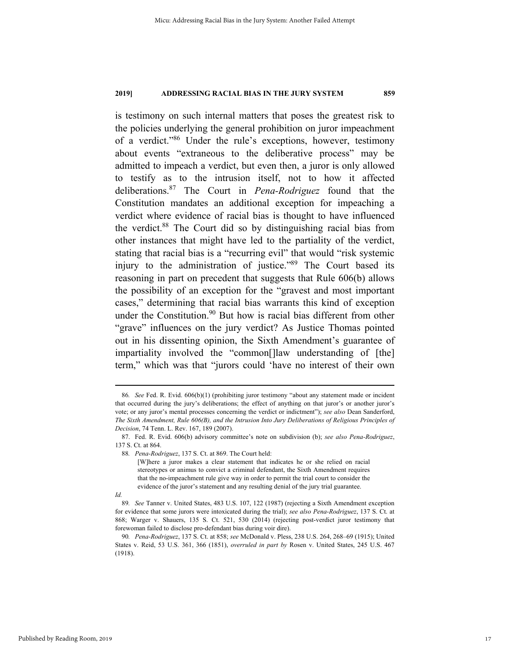is testimony on such internal matters that poses the greatest risk to the policies underlying the general prohibition on juror impeachment of a verdict."86 Under the rule's exceptions, however, testimony about events "extraneous to the deliberative process" may be admitted to impeach a verdict, but even then, a juror is only allowed to testify as to the intrusion itself, not to how it affected deliberations.87 The Court in *Pena-Rodriguez* found that the Constitution mandates an additional exception for impeaching a verdict where evidence of racial bias is thought to have influenced the verdict.88 The Court did so by distinguishing racial bias from other instances that might have led to the partiality of the verdict, stating that racial bias is a "recurring evil" that would "risk systemic injury to the administration of justice."<sup>89</sup> The Court based its reasoning in part on precedent that suggests that Rule 606(b) allows the possibility of an exception for the "gravest and most important cases," determining that racial bias warrants this kind of exception under the Constitution.<sup>90</sup> But how is racial bias different from other "grave" influences on the jury verdict? As Justice Thomas pointed out in his dissenting opinion, the Sixth Amendment's guarantee of impartiality involved the "common[]law understanding of [the] term," which was that "jurors could 'have no interest of their own

*Id.* 

 <sup>86</sup>*. See* Fed. R. Evid. 606(b)(1) (prohibiting juror testimony "about any statement made or incident that occurred during the jury's deliberations; the effect of anything on that juror's or another juror's vote; or any juror's mental processes concerning the verdict or indictment"); *see also* Dean Sanderford, *The Sixth Amendment, Rule 606(B), and the Intrusion Into Jury Deliberations of Religious Principles of Decision*, 74 Tenn. L. Rev. 167, 189 (2007).

 <sup>87.</sup> Fed. R. Evid. 606(b) advisory committee's note on subdivision (b); *see also Pena-Rodriguez*, 137 S. Ct. at 864.

<sup>88</sup>*. Pena-Rodriguez*, 137 S. Ct. at 869. The Court held:

<sup>[</sup>W]here a juror makes a clear statement that indicates he or she relied on racial stereotypes or animus to convict a criminal defendant, the Sixth Amendment requires that the no-impeachment rule give way in order to permit the trial court to consider the evidence of the juror's statement and any resulting denial of the jury trial guarantee.

<sup>89</sup>*. See* Tanner v. United States, 483 U.S. 107, 122 (1987) (rejecting a Sixth Amendment exception for evidence that some jurors were intoxicated during the trial); *see also Pena-Rodriguez*, 137 S. Ct. at 868; Warger v. Shauers, 135 S. Ct. 521, 530 (2014) (rejecting post-verdict juror testimony that forewoman failed to disclose pro-defendant bias during voir dire).

<sup>90</sup>*. Pena-Rodriguez*, 137 S. Ct. at 858; *see* McDonald v. Pless, 238 U.S. 264, 268–69 (1915); United States v. Reid, 53 U.S. 361, 366 (1851), *overruled in part by* Rosen v. United States, 245 U.S. 467 (1918).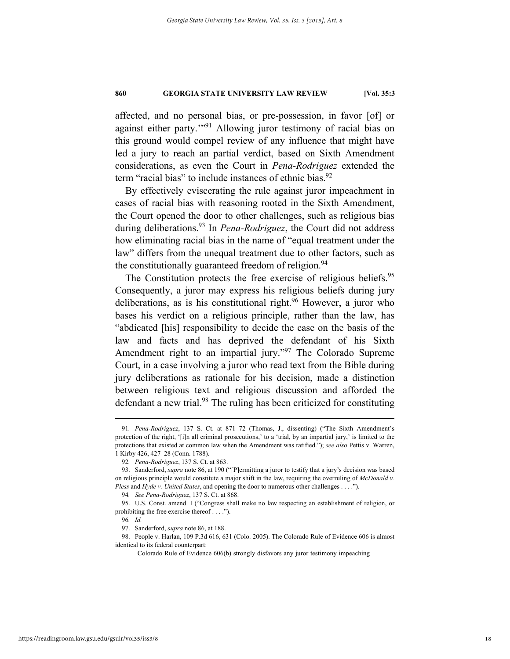affected, and no personal bias, or pre-possession, in favor [of] or against either party."<sup>91</sup> Allowing juror testimony of racial bias on this ground would compel review of any influence that might have led a jury to reach an partial verdict, based on Sixth Amendment considerations, as even the Court in *Pena-Rodriguez* extended the term "racial bias" to include instances of ethnic bias.<sup>92</sup>

By effectively eviscerating the rule against juror impeachment in cases of racial bias with reasoning rooted in the Sixth Amendment, the Court opened the door to other challenges, such as religious bias during deliberations.93 In *Pena-Rodriguez*, the Court did not address how eliminating racial bias in the name of "equal treatment under the law" differs from the unequal treatment due to other factors, such as the constitutionally guaranteed freedom of religion. $94$ 

The Constitution protects the free exercise of religious beliefs.<sup>95</sup> Consequently, a juror may express his religious beliefs during jury deliberations, as is his constitutional right.<sup>96</sup> However, a juror who bases his verdict on a religious principle, rather than the law, has "abdicated [his] responsibility to decide the case on the basis of the law and facts and has deprived the defendant of his Sixth Amendment right to an impartial jury."<sup>97</sup> The Colorado Supreme Court, in a case involving a juror who read text from the Bible during jury deliberations as rationale for his decision, made a distinction between religious text and religious discussion and afforded the defendant a new trial.<sup>98</sup> The ruling has been criticized for constituting

 <sup>91</sup>*. Pena-Rodriguez*, 137 S. Ct. at 871–72 (Thomas, J., dissenting) ("The Sixth Amendment's protection of the right, '[i]n all criminal prosecutions,' to a 'trial, by an impartial jury,' is limited to the protections that existed at common law when the Amendment was ratified."); *see also* Pettis v. Warren, 1 Kirby 426, 427–28 (Conn. 1788).

<sup>92</sup>*. Pena-Rodriguez*, 137 S. Ct. at 863.

 <sup>93.</sup> Sanderford, *supra* note 86, at 190 ("[P]ermitting a juror to testify that a jury's decision was based on religious principle would constitute a major shift in the law, requiring the overruling of *McDonald v. Pless* and *Hyde v. United States*, and opening the door to numerous other challenges . . . .").

<sup>94</sup>*. See Pena-Rodriguez*, 137 S. Ct. at 868.

 <sup>95.</sup> U.S. Const. amend. I ("Congress shall make no law respecting an establishment of religion, or prohibiting the free exercise thereof . . . .").

<sup>96</sup>*. Id.*

 <sup>97.</sup> Sanderford, *supra* note 86, at 188.

 <sup>98.</sup> People v. Harlan, 109 P.3d 616, 631 (Colo. 2005). The Colorado Rule of Evidence 606 is almost identical to its federal counterpart:

Colorado Rule of Evidence 606(b) strongly disfavors any juror testimony impeaching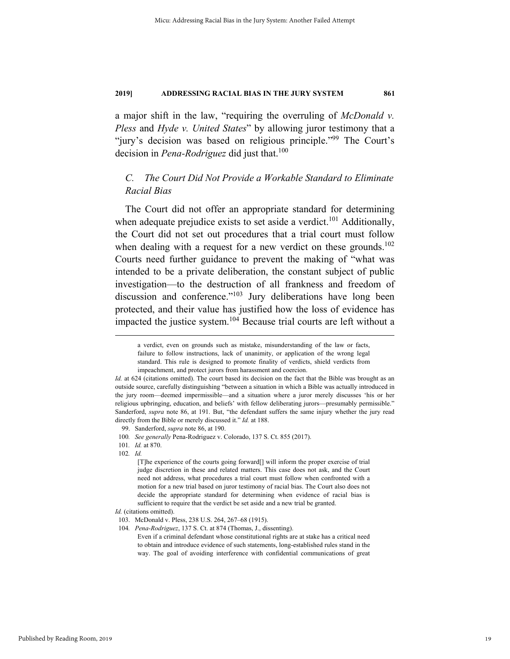a major shift in the law, "requiring the overruling of *McDonald v. Pless* and *Hyde v. United States*" by allowing juror testimony that a "jury's decision was based on religious principle."<sup>99</sup> The Court's decision in *Pena-Rodriguez* did just that.<sup>100</sup>

# *C. The Court Did Not Provide a Workable Standard to Eliminate Racial Bias*

The Court did not offer an appropriate standard for determining when adequate prejudice exists to set aside a verdict.<sup>101</sup> Additionally, the Court did not set out procedures that a trial court must follow when dealing with a request for a new verdict on these grounds.<sup>102</sup> Courts need further guidance to prevent the making of "what was intended to be a private deliberation, the constant subject of public investigation—to the destruction of all frankness and freedom of discussion and conference."<sup>103</sup> Jury deliberations have long been protected, and their value has justified how the loss of evidence has impacted the justice system.<sup>104</sup> Because trial courts are left without a

a verdict, even on grounds such as mistake, misunderstanding of the law or facts, failure to follow instructions, lack of unanimity, or application of the wrong legal standard. This rule is designed to promote finality of verdicts, shield verdicts from impeachment, and protect jurors from harassment and coercion.

*Id.* at 624 (citations omitted). The court based its decision on the fact that the Bible was brought as an outside source, carefully distinguishing "between a situation in which a Bible was actually introduced in the jury room—deemed impermissible—and a situation where a juror merely discusses 'his or her religious upbringing, education, and beliefs' with fellow deliberating jurors—presumably permissible." Sanderford, *supra* note 86, at 191. But, "the defendant suffers the same injury whether the jury read directly from the Bible or merely discussed it." *Id.* at 188.

 <sup>99.</sup> Sanderford, *supra* note 86, at 190.

<sup>100</sup>*. See generally* Pena-Rodriguez v. Colorado, 137 S. Ct. 855 (2017).

<sup>101</sup>*. Id.* at 870.

<sup>102</sup>*. Id.* 

<sup>[</sup>T]he experience of the courts going forward[] will inform the proper exercise of trial judge discretion in these and related matters. This case does not ask, and the Court need not address, what procedures a trial court must follow when confronted with a motion for a new trial based on juror testimony of racial bias. The Court also does not decide the appropriate standard for determining when evidence of racial bias is sufficient to require that the verdict be set aside and a new trial be granted.

*Id.* (citations omitted).

 <sup>103.</sup> McDonald v. Pless, 238 U.S. 264, 267–68 (1915).

<sup>104</sup>*. Pena-Rodriguez*, 137 S. Ct. at 874 (Thomas, J., dissenting).

Even if a criminal defendant whose constitutional rights are at stake has a critical need to obtain and introduce evidence of such statements, long-established rules stand in the way. The goal of avoiding interference with confidential communications of great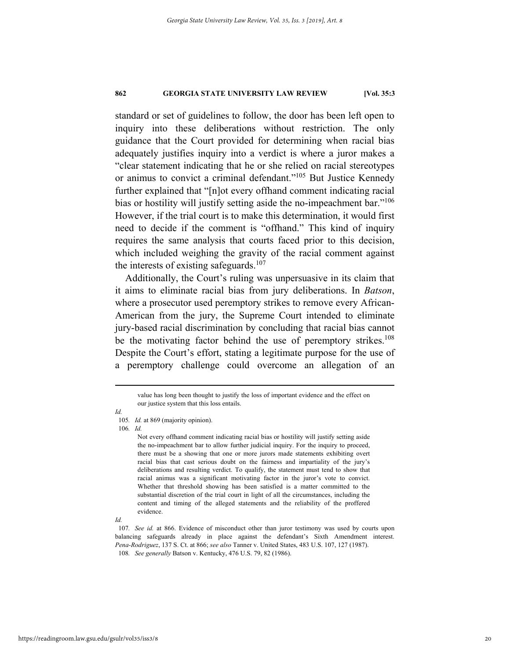standard or set of guidelines to follow, the door has been left open to inquiry into these deliberations without restriction. The only guidance that the Court provided for determining when racial bias adequately justifies inquiry into a verdict is where a juror makes a "clear statement indicating that he or she relied on racial stereotypes or animus to convict a criminal defendant."105 But Justice Kennedy further explained that "[n]ot every offhand comment indicating racial bias or hostility will justify setting aside the no-impeachment bar."<sup>106</sup> However, if the trial court is to make this determination, it would first need to decide if the comment is "offhand." This kind of inquiry requires the same analysis that courts faced prior to this decision, which included weighing the gravity of the racial comment against the interests of existing safeguards.<sup>107</sup>

Additionally, the Court's ruling was unpersuasive in its claim that it aims to eliminate racial bias from jury deliberations. In *Batson*, where a prosecutor used peremptory strikes to remove every African-American from the jury, the Supreme Court intended to eliminate jury-based racial discrimination by concluding that racial bias cannot be the motivating factor behind the use of peremptory strikes.<sup>108</sup> Despite the Court's effort, stating a legitimate purpose for the use of a peremptory challenge could overcome an allegation of an

*Id.* 

105*. Id.* at 869 (majority opinion).

106*. Id.*

Not every offhand comment indicating racial bias or hostility will justify setting aside the no-impeachment bar to allow further judicial inquiry. For the inquiry to proceed, there must be a showing that one or more jurors made statements exhibiting overt racial bias that cast serious doubt on the fairness and impartiality of the jury's deliberations and resulting verdict. To qualify, the statement must tend to show that racial animus was a significant motivating factor in the juror's vote to convict. Whether that threshold showing has been satisfied is a matter committed to the substantial discretion of the trial court in light of all the circumstances, including the content and timing of the alleged statements and the reliability of the proffered evidence.

value has long been thought to justify the loss of important evidence and the effect on our justice system that this loss entails.

*Id.* 

<sup>107</sup>*. See id.* at 866. Evidence of misconduct other than juror testimony was used by courts upon balancing safeguards already in place against the defendant's Sixth Amendment interest. *Pena-Rodriguez*, 137 S. Ct. at 866; *see also* Tanner v. United States, 483 U.S. 107, 127 (1987). 108*. See generally* Batson v. Kentucky, 476 U.S. 79, 82 (1986).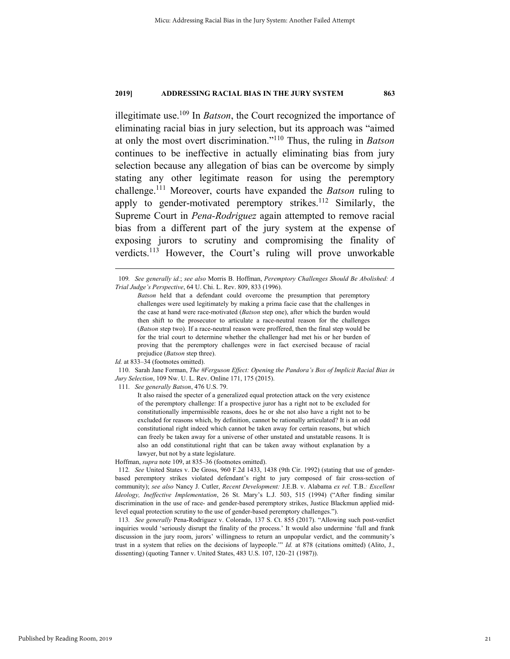illegitimate use.109 In *Batson*, the Court recognized the importance of eliminating racial bias in jury selection, but its approach was "aimed at only the most overt discrimination."110 Thus, the ruling in *Batson* continues to be ineffective in actually eliminating bias from jury selection because any allegation of bias can be overcome by simply stating any other legitimate reason for using the peremptory challenge.111 Moreover, courts have expanded the *Batson* ruling to apply to gender-motivated peremptory strikes.<sup>112</sup> Similarly, the Supreme Court in *Pena-Rodriguez* again attempted to remove racial bias from a different part of the jury system at the expense of exposing jurors to scrutiny and compromising the finality of verdicts.<sup>113</sup> However, the Court's ruling will prove unworkable

 110. Sarah Jane Forman, *The #Ferguson Effect: Opening the Pandora's Box of Implicit Racial Bias in Jury Selection*, 109 Nw. U. L. Rev. Online 171, 175 (2015).

111*. See generally Batson*, 476 U.S. 79.

It also raised the specter of a generalized equal protection attack on the very existence of the peremptory challenge: If a prospective juror has a right not to be excluded for constitutionally impermissible reasons, does he or she not also have a right not to be excluded for reasons which, by definition, cannot be rationally articulated? It is an odd constitutional right indeed which cannot be taken away for certain reasons, but which can freely be taken away for a universe of other unstated and unstatable reasons. It is also an odd constitutional right that can be taken away without explanation by a lawyer, but not by a state legislature.

Hoffman, *supra* note 109, at 835–36 (footnotes omitted).

112*. See* United States v. De Gross, 960 F.2d 1433, 1438 (9th Cir. 1992) (stating that use of genderbased peremptory strikes violated defendant's right to jury composed of fair cross-section of community); *see also* Nancy J. Cutler, *Recent Development:* J.E.B. v. Alabama *ex rel.* T.B.*: Excellent Ideology, Ineffective Implementation*, 26 St. Mary's L.J. 503, 515 (1994) ("After finding similar discrimination in the use of race- and gender-based peremptory strikes, Justice Blackmun applied midlevel equal protection scrutiny to the use of gender-based peremptory challenges.").

113*. See generally* Pena-Rodriguez v. Colorado, 137 S. Ct. 855 (2017). "Allowing such post-verdict inquiries would 'seriously disrupt the finality of the process.' It would also undermine 'full and frank discussion in the jury room, jurors' willingness to return an unpopular verdict, and the community's trust in a system that relies on the decisions of laypeople.'" *Id.* at 878 (citations omitted) (Alito, J., dissenting) (quoting Tanner v. United States, 483 U.S. 107, 120–21 (1987)).

 <sup>109</sup>*. See generally id.*; *see also* Morris B. Hoffman, *Peremptory Challenges Should Be Abolished: A Trial Judge's Perspective*, 64 U. Chi. L. Rev. 809, 833 (1996).

*Batson* held that a defendant could overcome the presumption that peremptory challenges were used legitimately by making a prima facie case that the challenges in the case at hand were race-motivated (*Batson* step one), after which the burden would then shift to the prosecutor to articulate a race-neutral reason for the challenges (*Batson* step two). If a race-neutral reason were proffered, then the final step would be for the trial court to determine whether the challenger had met his or her burden of proving that the peremptory challenges were in fact exercised because of racial prejudice (*Batson* step three).

*Id.* at 833–34 (footnotes omitted).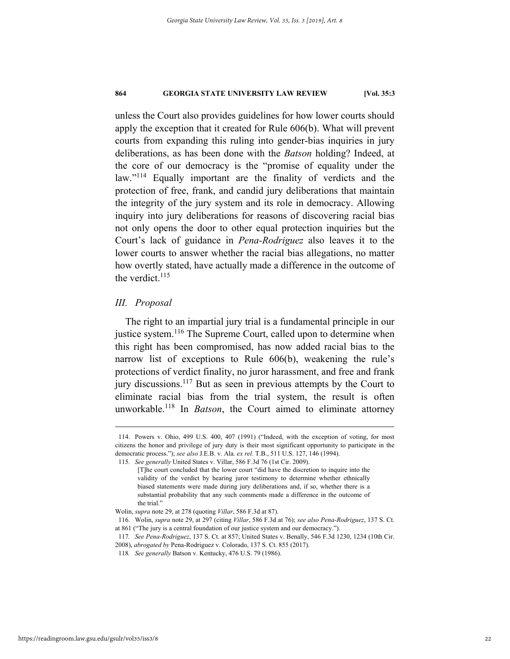unless the Court also provides guidelines for how lower courts should apply the exception that it created for Rule 606(b). What will prevent courts from expanding this ruling into gender-bias inquiries in jury deliberations, as has been done with the *Batson* holding? Indeed, at the core of our democracy is the "promise of equality under the law."114 Equally important are the finality of verdicts and the protection of free, frank, and candid jury deliberations that maintain the integrity of the jury system and its role in democracy. Allowing inquiry into jury deliberations for reasons of discovering racial bias not only opens the door to other equal protection inquiries but the Court's lack of guidance in *Pena-Rodriguez* also leaves it to the lower courts to answer whether the racial bias allegations, no matter how overtly stated, have actually made a difference in the outcome of the verdict. $115$ 

# *III. Proposal*

The right to an impartial jury trial is a fundamental principle in our justice system.<sup>116</sup> The Supreme Court, called upon to determine when this right has been compromised, has now added racial bias to the narrow list of exceptions to Rule 606(b), weakening the rule's protections of verdict finality, no juror harassment, and free and frank jury discussions.<sup>117</sup> But as seen in previous attempts by the Court to eliminate racial bias from the trial system, the result is often unworkable.118 In *Batson*, the Court aimed to eliminate attorney

 <sup>114.</sup> Powers v. Ohio, 499 U.S. 400, 407 (1991) ("Indeed, with the exception of voting, for most citizens the honor and privilege of jury duty is their most significant opportunity to participate in the democratic process."); *see also* J.E.B. v. Ala. *ex rel.* T.B., 511 U.S. 127, 146 (1994).

<sup>115</sup>*. See generally* United States v. Villar, 586 F.3d 76 (1st Cir. 2009).

<sup>[</sup>T]he court concluded that the lower court "did have the discretion to inquire into the validity of the verdict by hearing juror testimony to determine whether ethnically biased statements were made during jury deliberations and, if so, whether there is a substantial probability that any such comments made a difference in the outcome of the trial."

Wolin, *supra* note 29, at 278 (quoting *Villar*, 586 F.3d at 87).

 <sup>116.</sup> Wolin, *supra* note 29, at 297 (citing *Villar*, 586 F.3d at 76); *see also Pena-Rodriguez*, 137 S. Ct. at 861 ("The jury is a central foundation of our justice system and our democracy.").

<sup>117</sup>*. See Pena-Rodriguez*, 137 S. Ct. at 857; United States v. Benally, 546 F.3d 1230, 1234 (10th Cir. 2008), *abrogated by* Pena-Rodriguez v. Colorado, 137 S. Ct. 855 (2017).

<sup>118</sup>*. See generally* Batson v. Kentucky, 476 U.S. 79 (1986).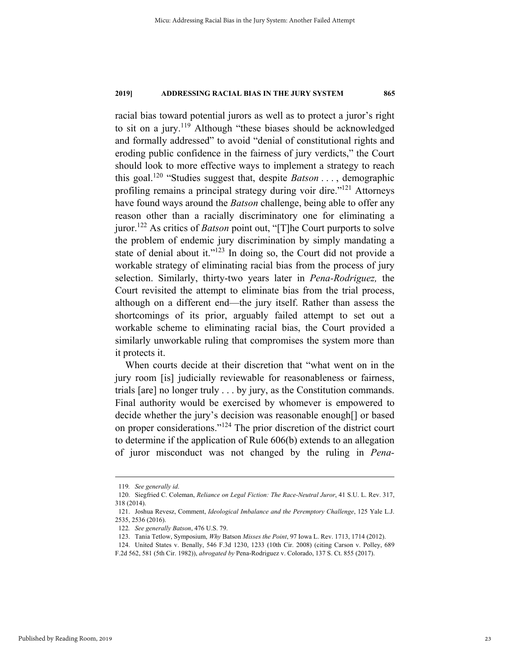racial bias toward potential jurors as well as to protect a juror's right to sit on a jury.<sup>119</sup> Although "these biases should be acknowledged and formally addressed" to avoid "denial of constitutional rights and eroding public confidence in the fairness of jury verdicts," the Court should look to more effective ways to implement a strategy to reach this goal.120 "Studies suggest that, despite *Batson* . . . , demographic profiling remains a principal strategy during voir dire."121 Attorneys have found ways around the *Batson* challenge, being able to offer any reason other than a racially discriminatory one for eliminating a juror.122 As critics of *Batson* point out, "[T]he Court purports to solve the problem of endemic jury discrimination by simply mandating a state of denial about it."<sup>123</sup> In doing so, the Court did not provide a workable strategy of eliminating racial bias from the process of jury selection. Similarly, thirty-two years later in *Pena-Rodriguez,* the Court revisited the attempt to eliminate bias from the trial process, although on a different end—the jury itself. Rather than assess the shortcomings of its prior, arguably failed attempt to set out a workable scheme to eliminating racial bias, the Court provided a similarly unworkable ruling that compromises the system more than it protects it.

When courts decide at their discretion that "what went on in the jury room [is] judicially reviewable for reasonableness or fairness, trials [are] no longer truly . . . by jury, as the Constitution commands. Final authority would be exercised by whomever is empowered to decide whether the jury's decision was reasonable enough[] or based on proper considerations."124 The prior discretion of the district court to determine if the application of Rule 606(b) extends to an allegation of juror misconduct was not changed by the ruling in *Pena-*

 <sup>119</sup>*. See generally id*.

 <sup>120.</sup> Siegfried C. Coleman, *Reliance on Legal Fiction: The Race-Neutral Juror*, 41 S.U. L. Rev. 317, 318 (2014).

 <sup>121.</sup> Joshua Revesz, Comment, *Ideological Imbalance and the Peremptory Challenge*, 125 Yale L.J. 2535, 2536 (2016).

<sup>122</sup>*. See generally Batson*, 476 U.S. 79.

 <sup>123.</sup> Tania Tetlow, Symposium, *Why* Batson *Misses the Point*, 97 Iowa L. Rev. 1713, 1714 (2012).

 <sup>124.</sup> United States v. Benally, 546 F.3d 1230, 1233 (10th Cir. 2008) (citing Carson v. Polley, 689

F.2d 562, 581 (5th Cir. 1982)), *abrogated by* Pena-Rodriguez v. Colorado, 137 S. Ct. 855 (2017).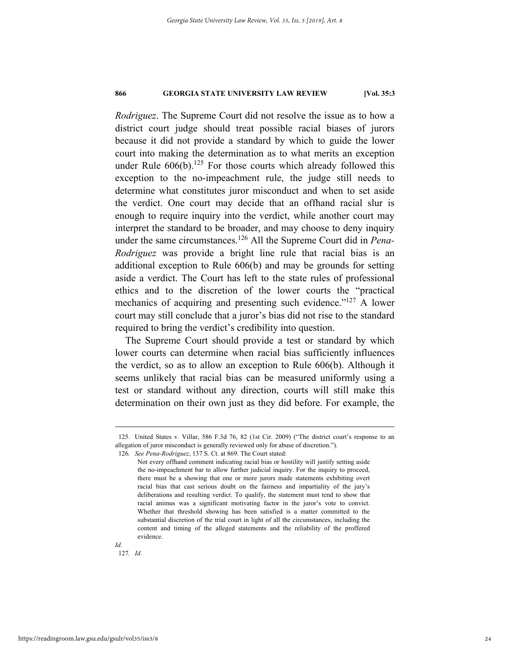*Rodriguez*. The Supreme Court did not resolve the issue as to how a district court judge should treat possible racial biases of jurors because it did not provide a standard by which to guide the lower court into making the determination as to what merits an exception under Rule  $606(b)$ .<sup>125</sup> For those courts which already followed this exception to the no-impeachment rule, the judge still needs to determine what constitutes juror misconduct and when to set aside the verdict. One court may decide that an offhand racial slur is enough to require inquiry into the verdict, while another court may interpret the standard to be broader, and may choose to deny inquiry under the same circumstances.126 All the Supreme Court did in *Pena-Rodriguez* was provide a bright line rule that racial bias is an additional exception to Rule 606(b) and may be grounds for setting aside a verdict. The Court has left to the state rules of professional ethics and to the discretion of the lower courts the "practical mechanics of acquiring and presenting such evidence."<sup>127</sup> A lower court may still conclude that a juror's bias did not rise to the standard required to bring the verdict's credibility into question.

The Supreme Court should provide a test or standard by which lower courts can determine when racial bias sufficiently influences the verdict, so as to allow an exception to Rule 606(b). Although it seems unlikely that racial bias can be measured uniformly using a test or standard without any direction, courts will still make this determination on their own just as they did before. For example, the

 <sup>125.</sup> United States v. Villar, 586 F.3d 76, 82 (1st Cir. 2009) ("The district court's response to an allegation of juror misconduct is generally reviewed only for abuse of discretion.").

<sup>126</sup>*. See Pena-Rodriguez*, 137 S. Ct. at 869. The Court stated:

Not every offhand comment indicating racial bias or hostility will justify setting aside the no-impeachment bar to allow further judicial inquiry. For the inquiry to proceed, there must be a showing that one or more jurors made statements exhibiting overt racial bias that cast serious doubt on the fairness and impartiality of the jury's deliberations and resulting verdict. To qualify, the statement must tend to show that racial animus was a significant motivating factor in the juror's vote to convict. Whether that threshold showing has been satisfied is a matter committed to the substantial discretion of the trial court in light of all the circumstances, including the content and timing of the alleged statements and the reliability of the proffered evidence.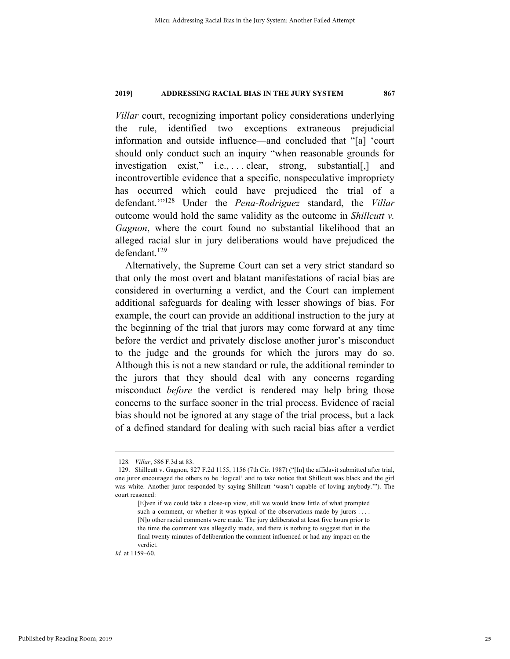*Villar* court, recognizing important policy considerations underlying the rule, identified two exceptions—extraneous prejudicial information and outside influence—and concluded that "[a] 'court should only conduct such an inquiry "when reasonable grounds for investigation exist," i.e., . . . . clear, strong, substantial[,] and incontrovertible evidence that a specific, nonspeculative impropriety has occurred which could have prejudiced the trial of a defendant.'"128 Under the *Pena-Rodriguez* standard, the *Villar*  outcome would hold the same validity as the outcome in *Shillcutt v. Gagnon*, where the court found no substantial likelihood that an alleged racial slur in jury deliberations would have prejudiced the defendant.<sup>129</sup>

Alternatively, the Supreme Court can set a very strict standard so that only the most overt and blatant manifestations of racial bias are considered in overturning a verdict, and the Court can implement additional safeguards for dealing with lesser showings of bias. For example, the court can provide an additional instruction to the jury at the beginning of the trial that jurors may come forward at any time before the verdict and privately disclose another juror's misconduct to the judge and the grounds for which the jurors may do so. Although this is not a new standard or rule, the additional reminder to the jurors that they should deal with any concerns regarding misconduct *before* the verdict is rendered may help bring those concerns to the surface sooner in the trial process. Evidence of racial bias should not be ignored at any stage of the trial process, but a lack of a defined standard for dealing with such racial bias after a verdict

*Id.* at 1159–60.

Published by Reading Room, 2019

 <sup>128</sup>*. Villar*, 586 F.3d at 83.

 <sup>129.</sup> Shillcutt v. Gagnon, 827 F.2d 1155, 1156 (7th Cir. 1987) ("[In] the affidavit submitted after trial, one juror encouraged the others to be 'logical' and to take notice that Shillcutt was black and the girl was white. Another juror responded by saying Shillcutt 'wasn't capable of loving anybody.'"). The court reasoned:

<sup>[</sup>E]ven if we could take a close-up view, still we would know little of what prompted such a comment, or whether it was typical of the observations made by jurors . . . . [N]o other racial comments were made. The jury deliberated at least five hours prior to the time the comment was allegedly made, and there is nothing to suggest that in the final twenty minutes of deliberation the comment influenced or had any impact on the verdict.